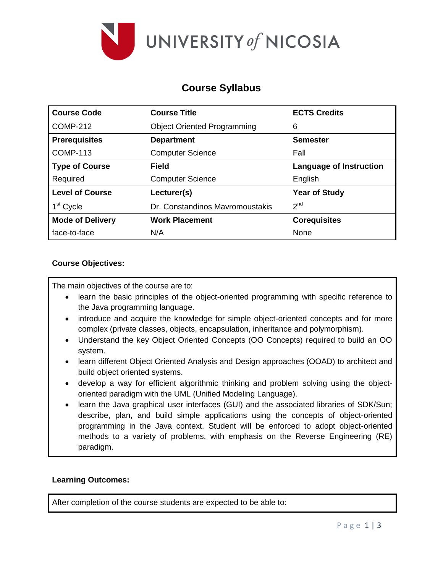

# **Course Syllabus**

| <b>Course Code</b>      | <b>Course Title</b>                | <b>ECTS Credits</b>     |
|-------------------------|------------------------------------|-------------------------|
| <b>COMP-212</b>         | <b>Object Oriented Programming</b> | 6                       |
| <b>Prerequisites</b>    | <b>Department</b>                  | <b>Semester</b>         |
| <b>COMP-113</b>         | <b>Computer Science</b>            | Fall                    |
| <b>Type of Course</b>   | Field                              | Language of Instruction |
| Required                | <b>Computer Science</b>            | English                 |
| <b>Level of Course</b>  | Lecturer(s)                        | <b>Year of Study</b>    |
| 1 <sup>st</sup> Cycle   | Dr. Constandinos Mayromoustakis    | 2 <sup>nd</sup>         |
| <b>Mode of Delivery</b> | <b>Work Placement</b>              | <b>Corequisites</b>     |
| face-to-face            | N/A                                | None                    |

## **Course Objectives:**

The main objectives of the course are to:

- learn the basic principles of the object-oriented programming with specific reference to the Java programming language.
- introduce and acquire the knowledge for simple object-oriented concepts and for more complex (private classes, objects, encapsulation, inheritance and polymorphism).
- Understand the key Object Oriented Concepts (OO Concepts) required to build an OO system.
- learn different Object Oriented Analysis and Design approaches (OOAD) to architect and build object oriented systems.
- develop a way for efficient algorithmic thinking and problem solving using the objectoriented paradigm with the UML (Unified Modeling Language).
- learn the Java graphical user interfaces (GUI) and the associated libraries of SDK/Sun; describe, plan, and build simple applications using the concepts of object-oriented programming in the Java context. Student will be enforced to adopt object-oriented methods to a variety of problems, with emphasis on the Reverse Engineering (RE) paradigm.

#### **Learning Outcomes:**

After completion of the course students are expected to be able to: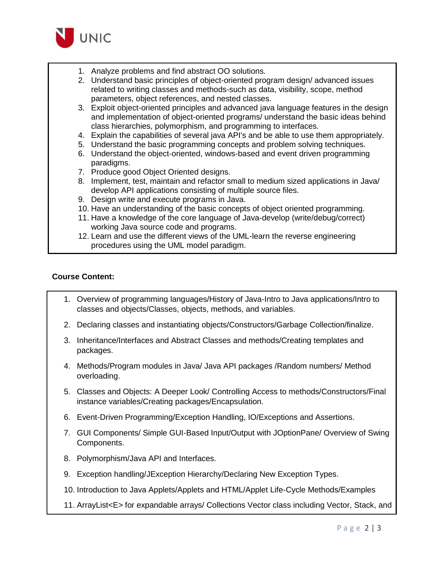

- 1. Analyze problems and find abstract OO solutions.
- 2. Understand basic principles of object-oriented program design/ advanced issues related to writing classes and methods-such as data, visibility, scope, method parameters, object references, and nested classes.
- 3. Exploit object-oriented principles and advanced java language features in the design and implementation of object-oriented programs/ understand the basic ideas behind class hierarchies, polymorphism, and programming to interfaces.
- 4. Explain the capabilities of several java API's and be able to use them appropriately.
- 5. Understand the basic programming concepts and problem solving techniques.
- 6. Understand the object-oriented, windows-based and event driven programming paradigms.
- 7. Produce good Object Oriented designs.
- 8. Implement, test, maintain and refactor small to medium sized applications in Java/ develop API applications consisting of multiple source files.
- 9. Design write and execute programs in Java.
- 10. Have an understanding of the basic concepts of object oriented programming.
- 11. Have a knowledge of the core language of Java-develop (write/debug/correct) working Java source code and programs.
- 12. Learn and use the different views of the UML-learn the reverse engineering procedures using the UML model paradigm.

#### **Course Content:**

- 1. Overview of programming languages/History of Java-Intro to Java applications/Intro to classes and objects/Classes, objects, methods, and variables.
- 2. Declaring classes and instantiating objects/Constructors/Garbage Collection/finalize.
- 3. Inheritance/Interfaces and Abstract Classes and methods/Creating templates and packages.
- 4. Methods/Program modules in Java/ Java API packages /Random numbers/ Method overloading.
- 5. Classes and Objects: A Deeper Look/ Controlling Access to methods/Constructors/Final instance variables/Creating packages/Encapsulation.
- 6. Event-Driven Programming/Exception Handling, IO/Exceptions and Assertions.
- 7. GUI Components/ Simple GUI-Based Input/Output with JOptionPane/ Overview of Swing Components.
- 8. Polymorphism/Java API and Interfaces.
- 9. Exception handling/JException Hierarchy/Declaring New Exception Types.
- 10. Introduction to Java Applets/Applets and HTML/Applet Life-Cycle Methods/Examples
- 11. ArrayList<E> for expandable arrays/ Collections Vector class including Vector, Stack, and